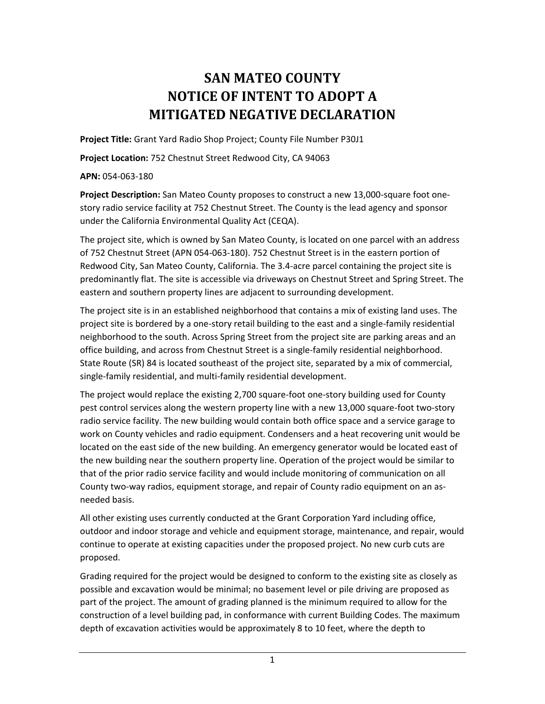## **SAN MATEO COUNTY NOTICE OF INTENT TO ADOPT A MITIGATED NEGATIVE DECLARATION**

**Project Title:** Grant Yard Radio Shop Project; County File Number P30J1

**Project Location:** 752 Chestnut Street Redwood City, CA 94063

## **APN:** 054-063-180

**Project Description:** San Mateo County proposes to construct a new 13,000-square foot onestory radio service facility at 752 Chestnut Street. The County is the lead agency and sponsor under the California Environmental Quality Act (CEQA).

The project site, which is owned by San Mateo County, is located on one parcel with an address of 752 Chestnut Street (APN 054-063-180). 752 Chestnut Street is in the eastern portion of Redwood City, San Mateo County, California. The 3.4-acre parcel containing the project site is predominantly flat. The site is accessible via driveways on Chestnut Street and Spring Street. The eastern and southern property lines are adjacent to surrounding development.

The project site is in an established neighborhood that contains a mix of existing land uses. The project site is bordered by a one-story retail building to the east and a single-family residential neighborhood to the south. Across Spring Street from the project site are parking areas and an office building, and across from Chestnut Street is a single-family residential neighborhood. State Route (SR) 84 is located southeast of the project site, separated by a mix of commercial, single-family residential, and multi-family residential development.

The project would replace the existing 2,700 square-foot one-story building used for County pest control services along the western property line with a new 13,000 square-foot two-story radio service facility. The new building would contain both office space and a service garage to work on County vehicles and radio equipment. Condensers and a heat recovering unit would be located on the east side of the new building. An emergency generator would be located east of the new building near the southern property line. Operation of the project would be similar to that of the prior radio service facility and would include monitoring of communication on all County two-way radios, equipment storage, and repair of County radio equipment on an asneeded basis.

All other existing uses currently conducted at the Grant Corporation Yard including office, outdoor and indoor storage and vehicle and equipment storage, maintenance, and repair, would continue to operate at existing capacities under the proposed project. No new curb cuts are proposed.

Grading required for the project would be designed to conform to the existing site as closely as possible and excavation would be minimal; no basement level or pile driving are proposed as part of the project. The amount of grading planned is the minimum required to allow for the construction of a level building pad, in conformance with current Building Codes. The maximum depth of excavation activities would be approximately 8 to 10 feet, where the depth to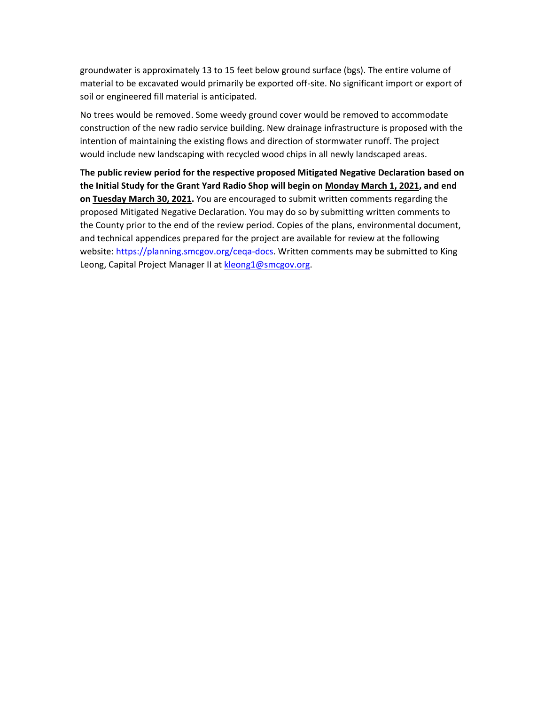groundwater is approximately 13 to 15 feet below ground surface (bgs). The entire volume of material to be excavated would primarily be exported off-site. No significant import or export of soil or engineered fill material is anticipated.

No trees would be removed. Some weedy ground cover would be removed to accommodate construction of the new radio service building. New drainage infrastructure is proposed with the intention of maintaining the existing flows and direction of stormwater runoff. The project would include new landscaping with recycled wood chips in all newly landscaped areas.

**The public review period for the respective proposed Mitigated Negative Declaration based on the Initial Study for the Grant Yard Radio Shop will begin on Monday March 1, 2021, and end on Tuesday March 30, 2021.** You are encouraged to submit written comments regarding the proposed Mitigated Negative Declaration. You may do so by submitting written comments to the County prior to the end of the review period. Copies of the plans, environmental document, and technical appendices prepared for the project are available for review at the following website: [https://planning.smcgov.org/ceqa-docs.](https://planning.smcgov.org/ceqa-docs) Written comments may be submitted to King Leong, Capital Project Manager II at [kleong1@smcgov.org.](mailto:kleong1@smcgov.org)